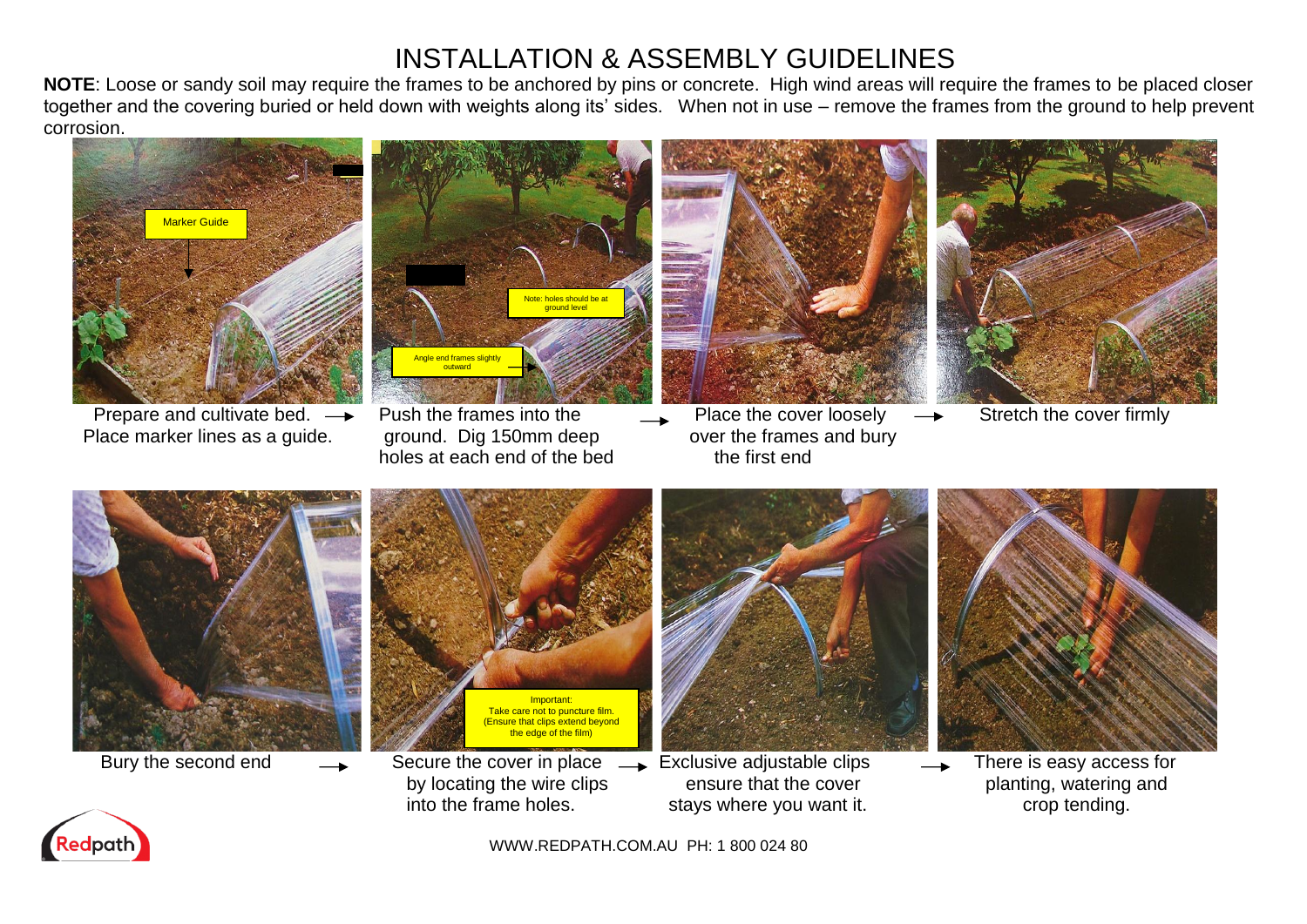# INSTALLATION & ASSEMBLY GUIDELINES

**NOTE**: Loose or sandy soil may require the frames to be anchored by pins or concrete. High wind areas will require the frames to be placed closer together and the covering buried or held down with weights along its' sides. When not in use – remove the frames from the ground to help prevent corrosion.



Prepare and cultivate bed.  $\rightarrow$  Push the frames into the Place the cover loosely  $\rightarrow$  Stretch the cover firmly Place marker lines as a guide. ground. Dig 150mm deep over the frames and bury

Angle end frames slight outward Note: holes should be ground level

holes at each end of the bed the first end









Bury the second end  $\longrightarrow$  Secure the cover in place  $\longrightarrow$  Exclusive adjustable clips  $\longrightarrow$  There is easy access for



- by locating the wire clips ensure that the cover planting, watering and into the frame holes. stays where you want it. The stays where you want it.
	-
- 



WWW.REDPATH.COM.AU PH: 1 800 024 80